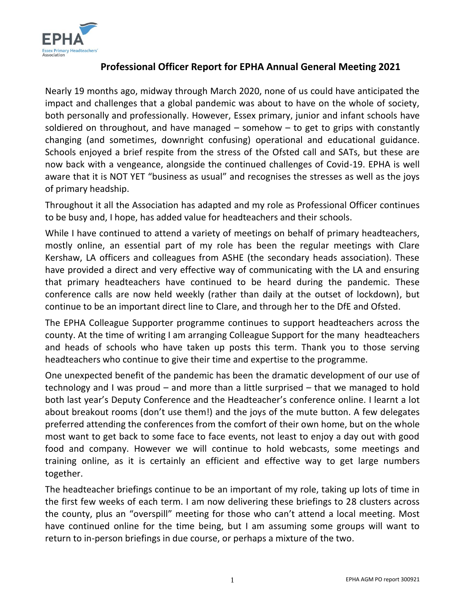

## **Professional Officer Report for EPHA Annual General Meeting 2021**

Nearly 19 months ago, midway through March 2020, none of us could have anticipated the impact and challenges that a global pandemic was about to have on the whole of society, both personally and professionally. However, Essex primary, junior and infant schools have soldiered on throughout, and have managed  $-$  somehow  $-$  to get to grips with constantly changing (and sometimes, downright confusing) operational and educational guidance. Schools enjoyed a brief respite from the stress of the Ofsted call and SATs, but these are now back with a vengeance, alongside the continued challenges of Covid-19. EPHA is well aware that it is NOT YET "business as usual" and recognises the stresses as well as the joys of primary headship.

Throughout it all the Association has adapted and my role as Professional Officer continues to be busy and, I hope, has added value for headteachers and their schools.

While I have continued to attend a variety of meetings on behalf of primary headteachers, mostly online, an essential part of my role has been the regular meetings with Clare Kershaw, LA officers and colleagues from ASHE (the secondary heads association). These have provided a direct and very effective way of communicating with the LA and ensuring that primary headteachers have continued to be heard during the pandemic. These conference calls are now held weekly (rather than daily at the outset of lockdown), but continue to be an important direct line to Clare, and through her to the DfE and Ofsted.

The EPHA Colleague Supporter programme continues to support headteachers across the county. At the time of writing I am arranging Colleague Support for the many headteachers and heads of schools who have taken up posts this term. Thank you to those serving headteachers who continue to give their time and expertise to the programme.

One unexpected benefit of the pandemic has been the dramatic development of our use of technology and I was proud – and more than a little surprised – that we managed to hold both last year's Deputy Conference and the Headteacher's conference online. I learnt a lot about breakout rooms (don't use them!) and the joys of the mute button. A few delegates preferred attending the conferences from the comfort of their own home, but on the whole most want to get back to some face to face events, not least to enjoy a day out with good food and company. However we will continue to hold webcasts, some meetings and training online, as it is certainly an efficient and effective way to get large numbers together.

The headteacher briefings continue to be an important of my role, taking up lots of time in the first few weeks of each term. I am now delivering these briefings to 28 clusters across the county, plus an "overspill" meeting for those who can't attend a local meeting. Most have continued online for the time being, but I am assuming some groups will want to return to in-person briefings in due course, or perhaps a mixture of the two.